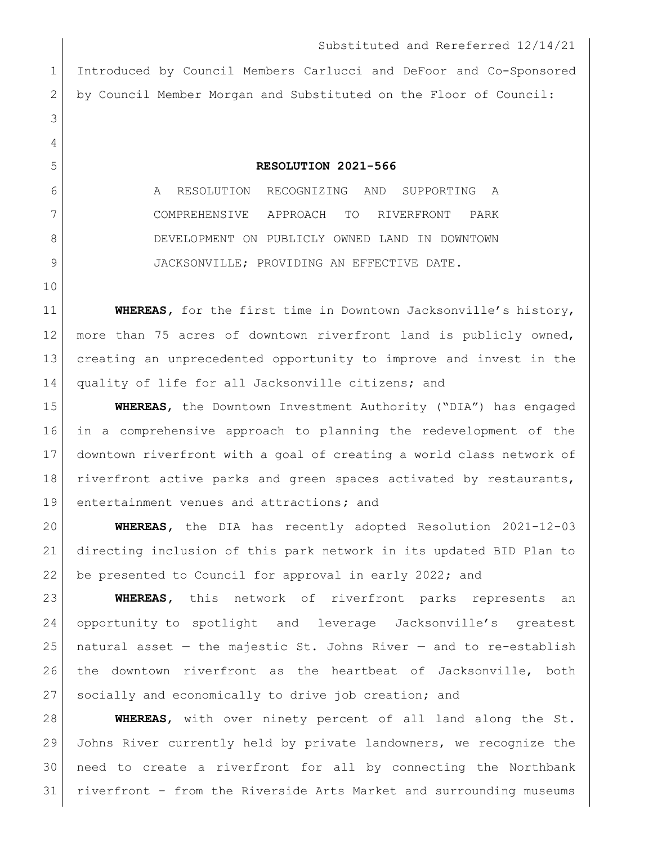Substituted and Rereferred 12/14/21 Introduced by Council Members Carlucci and DeFoor and Co-Sponsored by Council Member Morgan and Substituted on the Floor of Council: **RESOLUTION 2021-566** A RESOLUTION RECOGNIZING AND SUPPORTING A COMPREHENSIVE APPROACH TO RIVERFRONT PARK 8 DEVELOPMENT ON PUBLICLY OWNED LAND IN DOWNTOWN 9 JACKSONVILLE; PROVIDING AN EFFECTIVE DATE. **WHEREAS**, for the first time in Downtown Jacksonville's history, more than 75 acres of downtown riverfront land is publicly owned, creating an unprecedented opportunity to improve and invest in the quality of life for all Jacksonville citizens; and **WHEREAS**, the Downtown Investment Authority ("DIA") has engaged in a comprehensive approach to planning the redevelopment of the downtown riverfront with a goal of creating a world class network of riverfront active parks and green spaces activated by restaurants,

entertainment venues and attractions**;** and

 **WHEREAS,** the DIA has recently adopted Resolution 2021-12-03 directing inclusion of this park network in its updated BID Plan to be presented to Council for approval in early 2022; and

 **WHEREAS,** this network of riverfront parks represents an opportunity to spotlight and leverage Jacksonville's greatest 25 | natural asset  $-$  the majestic St. Johns River  $-$  and to re-establish the downtown riverfront as the heartbeat of Jacksonville, both socially and economically to drive job creation; and

 **WHEREAS**, with over ninety percent of all land along the St. Johns River currently held by private landowners, we recognize the need to create a riverfront for all by connecting the Northbank riverfront – from the Riverside Arts Market and surrounding museums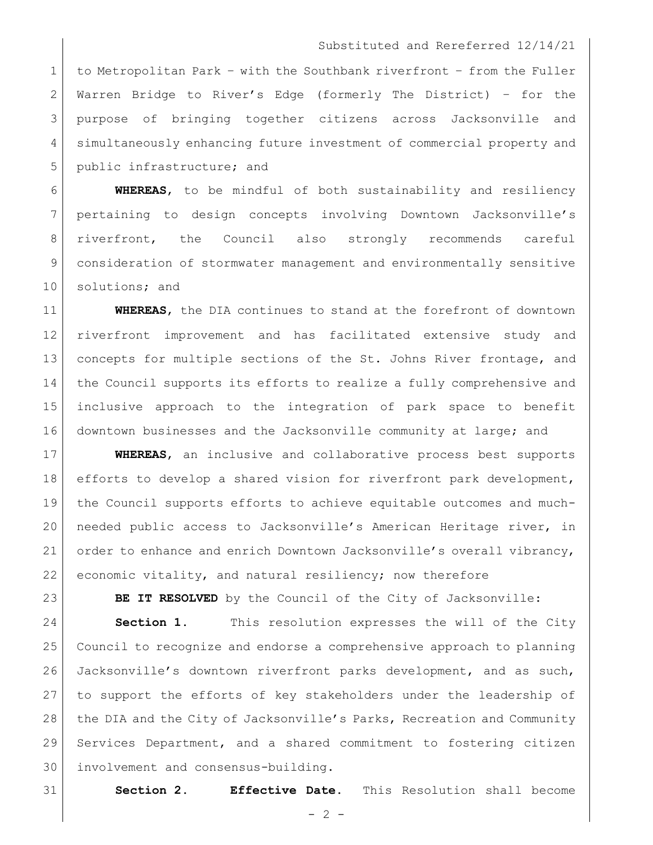## Substituted and Rereferred 12/14/21

 to Metropolitan Park – with the Southbank riverfront – from the Fuller Warren Bridge to River's Edge (formerly The District) – for the purpose of bringing together citizens across Jacksonville and simultaneously enhancing future investment of commercial property and 5 public infrastructure; and

 **WHEREAS**, to be mindful of both sustainability and resiliency pertaining to design concepts involving Downtown Jacksonville's riverfront, the Council also strongly recommends careful consideration of stormwater management and environmentally sensitive 10 solutions; and

 **WHEREAS**, the DIA continues to stand at the forefront of downtown riverfront improvement and has facilitated extensive study and 13 concepts for multiple sections of the St. Johns River frontage, and the Council supports its efforts to realize a fully comprehensive and inclusive approach to the integration of park space to benefit 16 downtown businesses and the Jacksonville community at large; and

 **WHEREAS**, an inclusive and collaborative process best supports 18 efforts to develop a shared vision for riverfront park development, the Council supports efforts to achieve equitable outcomes and much- needed public access to Jacksonville's American Heritage river, in order to enhance and enrich Downtown Jacksonville's overall vibrancy, 22 economic vitality, and natural resiliency; now therefore

**BE IT RESOLVED** by the Council of the City of Jacksonville:

**Section 1.** This resolution expresses the will of the City Council to recognize and endorse a comprehensive approach to planning Jacksonville's downtown riverfront parks development, and as such, to support the efforts of key stakeholders under the leadership of 28 the DIA and the City of Jacksonville's Parks, Recreation and Community Services Department, and a shared commitment to fostering citizen involvement and consensus-building.

**Section 2. Effective Date.** This Resolution shall become

 $-2 -$